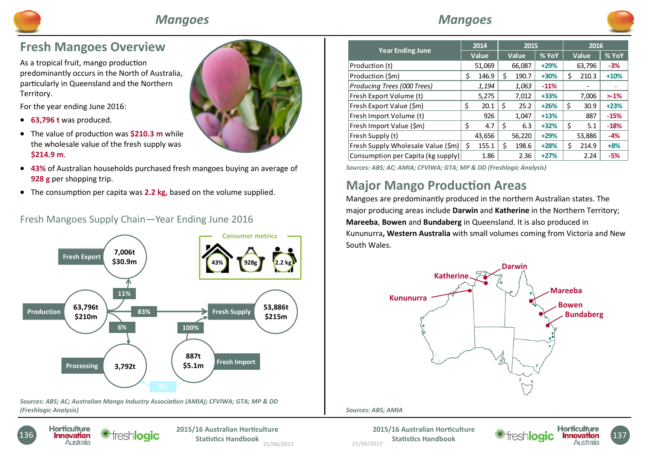

## *Mangoes*



## **Fresh Mangoes Overview**

As a tropical fruit, mango production predominantly occurs in the North of Australia, particularly in Queensland and the Northern Territory.

For the year ending June 2016:

- **63,796 t** was produced.
- The value of production was **\$210.3 m** while the wholesale value of the fresh supply was **\$214.9 m**.
- **43%** of Australian households purchased fresh mangoes buying an average of **928 g** per shopping trip.
- The consumption per capita was 2.2 kg, based on the volume supplied.





*Sources: ABS; AC; Australian Mango Industry Association (AMIA); CFVIWA; GTA; MP & DD (Freshlogic Analysis)* 



**21/06/2017 2015/16 Australian Horticulture Statistics Handbook** 21/06/2017 *21/06/2017 21/06/2017* 

| <b>Year Ending June</b>            |    | 2014<br>Value |    | 2015   |        | 2016  |        |        |  |
|------------------------------------|----|---------------|----|--------|--------|-------|--------|--------|--|
|                                    |    |               |    | Value  | % YoY  | Value |        | % YoY  |  |
| Production (t)                     |    | 51,069        |    | 66,087 | $+29%$ |       | 63,796 | $-3%$  |  |
| Production (\$m)                   | \$ | 146.9         | \$ | 190.7  | $+30%$ | \$    | 210.3  | $+10%$ |  |
| Producing Trees (000 Trees)        |    | 1,194         |    | 1,063  | $-11%$ |       |        |        |  |
| Fresh Export Volume (t)            |    | 5,275         |    | 7,012  | $+33%$ |       | 7,006  | $>1\%$ |  |
| Fresh Export Value (\$m)           | \$ | 20.1          | Ś  | 25.2   | $+26%$ | \$    | 30.9   | $+23%$ |  |
| Fresh Import Volume (t)            |    | 926           |    | 1,047  | $+13%$ |       | 887    | $-15%$ |  |
| Fresh Import Value (\$m)           | Ś  | 4.7           | Ŝ. | 6.3    | $+32%$ | \$    | 5.1    | $-18%$ |  |
| Fresh Supply (t)                   |    | 43,656        |    | 56,220 | $+29%$ |       | 53,886 | -4%    |  |
| Fresh Supply Wholesale Value (\$m) | Ś  | 155.1         | Ś  | 198.6  | $+28%$ | Ś     | 214.9  | $+8%$  |  |
| Consumption per Capita (kg supply) |    | 1.86          |    | 2.36   | $+27%$ |       | 2.24   | $-5%$  |  |

*Sources: ABS; AC; AMIA; CFVIWA; GTA; MP & DD (Freshlogic Analysis)*

# **Major Mango Production Areas**

Mangoes are predominantly produced in the northern Australian states. The major producing areas include **Darwin** and **Katherine** in the Northern Territory; **Mareeba**, **Bowen** and **Bundaberg** in Queensland. It is also produced in Kununurra**, Western Australia** with small volumes coming from Victoria and New South Wales.



*Sources: ABS; AMIA* 

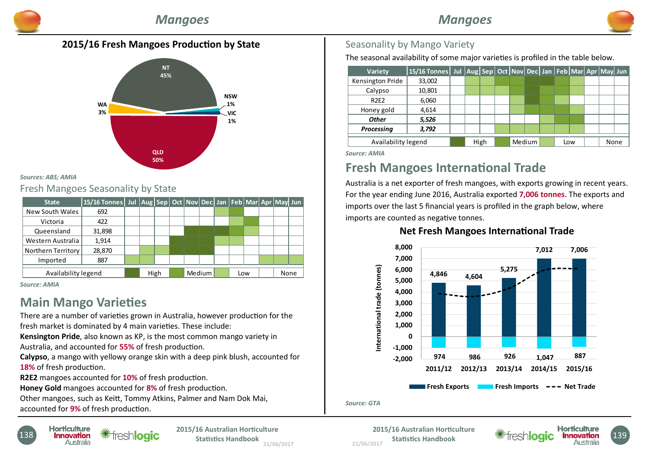

### **2015/16 Fresh Mangoes Production by State**



#### *Sources: ABS; AMIA*

#### Fresh Mangoes Seasonality by State

| <b>State</b>        | 15/16 Tonnes   Jul   Aug   Sep   Oct   Nov   Dec   Jan   Feb   Mar   Apr   May   Jun |  |      |  |        |     |  |      |  |
|---------------------|--------------------------------------------------------------------------------------|--|------|--|--------|-----|--|------|--|
| New South Wales     | 692                                                                                  |  |      |  |        |     |  |      |  |
| Victoria            | 422                                                                                  |  |      |  |        |     |  |      |  |
| Queensland          | 31,898                                                                               |  |      |  |        |     |  |      |  |
| Western Australia   | 1.914                                                                                |  |      |  |        |     |  |      |  |
| Northern Territory  | 28,870                                                                               |  |      |  |        |     |  |      |  |
| Imported            | 887                                                                                  |  |      |  |        |     |  |      |  |
| Availability legend |                                                                                      |  | High |  | Medium | Low |  | None |  |

*Source: AMIA*

# **Main Mango Varieties**

There are a number of varieties grown in Australia, however production for the fresh market is dominated by 4 main varieties. These include:

**Kensington Pride**, also known as KP, is the most common mango variety in Australia, and accounted for **55%** of fresh production.

**Calypso**, a mango with yellowy orange skin with a deep pink blush, accounted for **18%** of fresh production.

**R2E2** mangoes accounted for **10%** of fresh production.

**Honey Gold** mangoes accounted for 8% of fresh production.

Other mangoes, such as Keitt, Tommy Atkins, Palmer and Nam Dok Mai, accounted for 9% of fresh production.



The seasonal availability of some major varieties is profiled in the table below.

| Variety             | 15/16 Tonnes   Jul  Aug   Sep   Oct   Nov   Dec   Jan   Feb   Mar   Apr   May   Jun |  |      |  |        |  |     |      |  |
|---------------------|-------------------------------------------------------------------------------------|--|------|--|--------|--|-----|------|--|
| Kensington Pride    | 33,002                                                                              |  |      |  |        |  |     |      |  |
| Calypso             | 10,801                                                                              |  |      |  |        |  |     |      |  |
| <b>R2E2</b>         | 6,060                                                                               |  |      |  |        |  |     |      |  |
| Honey gold          | 4,614                                                                               |  |      |  |        |  |     |      |  |
| <b>Other</b>        | 5,526                                                                               |  |      |  |        |  |     |      |  |
| Processing          | 3,792                                                                               |  |      |  |        |  |     |      |  |
| Availability legend |                                                                                     |  | High |  | Medium |  | Low | None |  |
|                     |                                                                                     |  |      |  |        |  |     |      |  |

*Source: AMIA* 

# **Fresh Mangoes International Trade**

Australia is a net exporter of fresh mangoes, with exports growing in recent years. For the year ending June 2016, Australia exported **7,006 tonnes**. The exports and imports over the last 5 financial years is profiled in the graph below, where imports are counted as negative tonnes.

#### **Net Fresh Mangoes International Trade**



#### *Source: GTA*

**21/06/2017 138 Conficulture 138 Exercise 138 Exercise 138 CONSIDIGNET 2015/16 Australian Horticulture** 138<br>Australia **Australia Exercise 21/06/2017 CONSIDIGNET 21/06/2017**